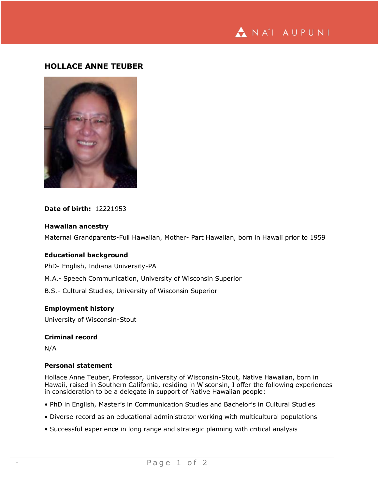

# **HOLLACE ANNE TEUBER**



## **Date of birth:** 12221953

#### **Hawaiian ancestry**

Maternal Grandparents-Full Hawaiian, Mother- Part Hawaiian, born in Hawaii prior to 1959

### **Educational background**

PhD- English, Indiana University-PA

M.A.- Speech Communication, University of Wisconsin Superior

B.S.- Cultural Studies, University of Wisconsin Superior

#### **Employment history**

University of Wisconsin-Stout

## **Criminal record**

N/A

#### **Personal statement**

Hollace Anne Teuber, Professor, University of Wisconsin-Stout, Native Hawaiian, born in Hawaii, raised in Southern California, residing in Wisconsin, I offer the following experiences in consideration to be a delegate in support of Native Hawaiian people:

- PhD in English, Master's in Communication Studies and Bachelor's in Cultural Studies
- Diverse record as an educational administrator working with multicultural populations
- Successful experience in long range and strategic planning with critical analysis